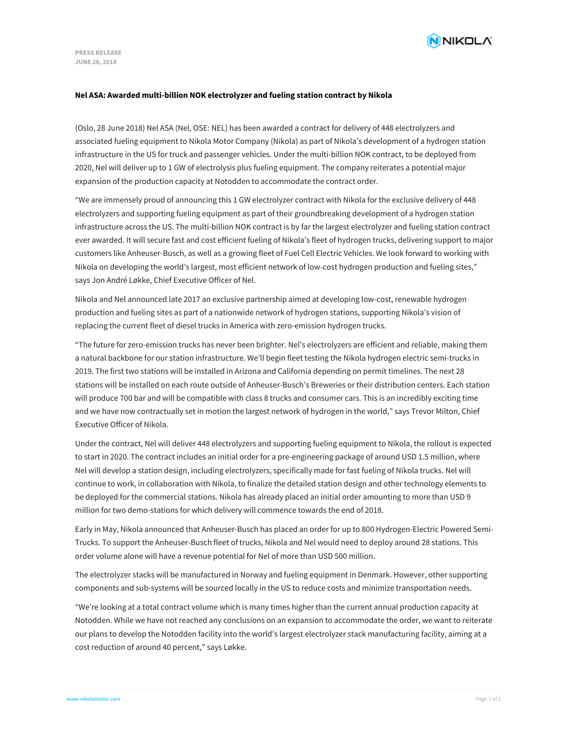

## **Nel ASA: Awarded multi-billion NOK electrolyzer and fueling station contract by Nikola**

(Oslo, 28 June 2018) Nel ASA (Nel, OSE: NEL) has been awarded a contract for delivery of 448 electrolyzers and associated fueling equipment to Nikola Motor Company (Nikola) as part of Nikola's development of a hydrogen station infrastructure in the US for truck and passenger vehicles. Under the multi-billion NOK contract, to be deployed from 2020, Nel will deliver up to 1 GW of electrolysis plus fueling equipment. The company reiterates a potential major expansion of the production capacity at Notodden to accommodate the contract order.

"We are immensely proud of announcing this 1 GW electrolyzer contract with Nikola for the exclusive delivery of 448 electrolyzers and supporting fueling equipment as part of their groundbreaking development of a hydrogen station infrastructure across the US. The multi-billion NOK contract is by far the largest electrolyzer and fueling station contract ever awarded. It will secure fast and cost efficient fueling of Nikola's fleet of hydrogen trucks, delivering support to major customers like Anheuser-Busch, as well as a growing fleet of Fuel Cell Electric Vehicles. We look forward to working with Nikola on developing the world's largest, most efficient network of low-cost hydrogen production and fueling sites," says Jon André Løkke, Chief Executive Officer of Nel.

Nikola and Nel announced late 2017 an exclusive partnership aimed at developing low-cost, renewable hydrogen production and fueling sites as part of a nationwide network of hydrogen stations, supporting Nikola's vision of replacing the current fleet of diesel trucks in America with zero-emission hydrogen trucks.

"The future for zero-emission trucks has never been brighter. Nel's electrolyzers are efficient and reliable, making them a natural backbone for our station infrastructure. We'll begin fleet testing the Nikola hydrogen electric semi-trucks in 2019. The first two stations will be installed in Arizona and California depending on permit timelines. The next 28 stations will be installed on each route outside of Anheuser-Busch's Breweries or their distribution centers. Each station will produce 700 bar and will be compatible with class 8 trucks and consumer cars. This is an incredibly exciting time and we have now contractually set in motion the largest network of hydrogen in the world," says Trevor Milton, Chief Executive Officer of Nikola.

Under the contract, Nel will deliver 448 electrolyzers and supporting fueling equipment to Nikola, the rollout is expected to start in 2020. The contract includes an initial order for a pre-engineering package of around USD 1.5 million, where Nel will develop a station design, including electrolyzers, specifically made for fast fueling of Nikola trucks. Nel will continue to work, in collaboration with Nikola, to finalize the detailed station design and other technology elements to be deployed for the commercial stations. Nikola has already placed an initial order amounting to more than USD 9 million for two demo-stations for which delivery will commence towards the end of 2018.

Early in May, Nikola announced that Anheuser-Busch has placed an order for up to 800 Hydrogen-Electric Powered Semi-Trucks. To support the Anheuser-Busch fleet of trucks, Nikola and Nel would need to deploy around 28 stations. This order volume alone will have a revenue potential for Nel of more than USD 500 million.

The electrolyzer stacks will be manufactured in Norway and fueling equipment in Denmark. However, other supporting components and sub-systems will be sourced locally in the US to reduce costs and minimize transportation needs.

"We're looking at a total contract volume which is many times higher than the current annual production capacity at Notodden. While we have not reached any conclusions on an expansion to accommodate the order, we want to reiterate our plans to develop the Notodden facility into the world's largest electrolyzer stack manufacturing facility, aiming at a cost reduction of around 40 percent," says Løkke.